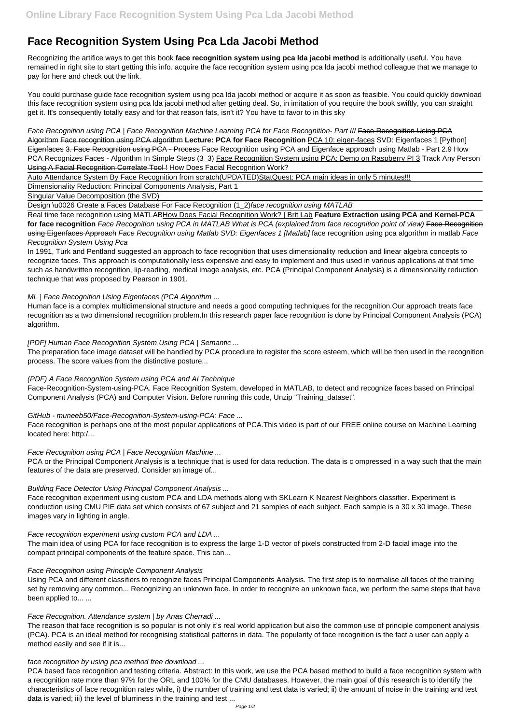# **Face Recognition System Using Pca Lda Jacobi Method**

Recognizing the artifice ways to get this book **face recognition system using pca lda jacobi method** is additionally useful. You have remained in right site to start getting this info. acquire the face recognition system using pca lda jacobi method colleague that we manage to pay for here and check out the link.

You could purchase guide face recognition system using pca lda jacobi method or acquire it as soon as feasible. You could quickly download this face recognition system using pca lda jacobi method after getting deal. So, in imitation of you require the book swiftly, you can straight get it. It's consequently totally easy and for that reason fats, isn't it? You have to favor to in this sky

Face Recognition using PCA | Face Recognition Machine Learning PCA for Face Recognition- Part III Face Recognition Using PCA Algorithm Face recognition using PCA algorithm **Lecture: PCA for Face Recognition** PCA 10: eigen-faces SVD: Eigenfaces 1 [Python] Eigenfaces 3. Face Recognition using PCA - Process Face Recognition using PCA and Eigenface approach using Matlab - Part 2.9 How PCA Recognizes Faces - Algorithm In Simple Steps (3\_3) Face Recognition System using PCA: Demo on Raspberry PI 3 Track Any Person Using A Facial Recognition Correlate Tool ! How Does Facial Recognition Work?

Auto Attendance System By Face Recognition from scratch(UPDATED)StatQuest: PCA main ideas in only 5 minutes!!!

Dimensionality Reduction: Principal Components Analysis, Part 1

Singular Value Decomposition (the SVD)

Design \u0026 Create a Faces Database For Face Recognition (1\_2) face recognition using MATLAB

Real time face recognition using MATLABHow Does Facial Recognition Work? | Brit Lab **Feature Extraction using PCA and Kernel-PCA** for face recognition Face Recognition using PCA in MATLAB What is PCA (explained from face recognition point of view) Face Recognition using Eigenfaces Approach Face Recognition using Matlab SVD: Eigenfaces 1 [Matlab] face recognition using pca algorithm in matlab Face Recognition System Using Pca

PCA or the Principal Component Analysis is a technique that is used for data reduction. The data is c ompressed in a way such that the main features of the data are preserved. Consider an image of...

In 1991, Turk and Pentland suggested an approach to face recognition that uses dimensionality reduction and linear algebra concepts to recognize faces. This approach is computationally less expensive and easy to implement and thus used in various applications at that time such as handwritten recognition, lip-reading, medical image analysis, etc. PCA (Principal Component Analysis) is a dimensionality reduction technique that was proposed by Pearson in 1901.

#### ML | Face Recognition Using Eigenfaces (PCA Algorithm ...

Human face is a complex multidimensional structure and needs a good computing techniques for the recognition.Our approach treats face recognition as a two dimensional recognition problem.In this research paper face recognition is done by Principal Component Analysis (PCA) algorithm.

#### [PDF] Human Face Recognition System Using PCA | Semantic ...

The preparation face image dataset will be handled by PCA procedure to register the score esteem, which will be then used in the recognition process. The score values from the distinctive posture...

#### (PDF) A Face Recognition System using PCA and AI Technique

Face-Recognition-System-using-PCA. Face Recognition System, developed in MATLAB, to detect and recognize faces based on Principal Component Analysis (PCA) and Computer Vision. Before running this code, Unzip "Training\_dataset".

#### GitHub - muneeb50/Face-Recognition-System-using-PCA: Face ...

Face recognition is perhaps one of the most popular applications of PCA.This video is part of our FREE online course on Machine Learning located here: http:/...

## Face Recognition using PCA | Face Recognition Machine ...

#### Building Face Detector Using Principal Component Analysis ...

Face recognition experiment using custom PCA and LDA methods along with SKLearn K Nearest Neighbors classifier. Experiment is conduction using CMU PIE data set which consists of 67 subject and 21 samples of each subject. Each sample is a 30 x 30 image. These images vary in lighting in angle.

#### Face recognition experiment using custom PCA and LDA ...

The main idea of using PCA for face recognition is to express the large 1-D vector of pixels constructed from 2-D facial image into the

compact principal components of the feature space. This can...

Face Recognition using Principle Component Analysis

Using PCA and different classifiers to recognize faces Principal Components Analysis. The first step is to normalise all faces of the training set by removing any common... Recognizing an unknown face. In order to recognize an unknown face, we perform the same steps that have been applied to... ...

Face Recognition. Attendance system | by Anas Cherradi ...

The reason that face recognition is so popular is not only it's real world application but also the common use of principle component analysis (PCA). PCA is an ideal method for recognising statistical patterns in data. The popularity of face recognition is the fact a user can apply a method easily and see if it is...

face recognition by using pca method free download ...

PCA based face recognition and testing criteria. Abstract: In this work, we use the PCA based method to build a face recognition system with a recognition rate more than 97% for the ORL and 100% for the CMU databases. However, the main goal of this research is to identify the characteristics of face recognition rates while, i) the number of training and test data is varied; ii) the amount of noise in the training and test data is varied; iii) the level of blurriness in the training and test ...